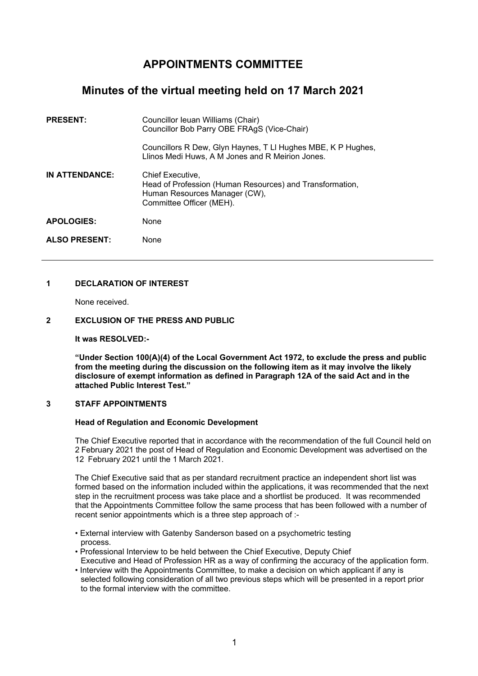# **APPOINTMENTS COMMITTEE**

## **Minutes of the virtual meeting held on 17 March 2021**

| <b>PRESENT:</b>       | Councillor Ieuan Williams (Chair)<br>Councillor Bob Parry OBE FRAgS (Vice-Chair)                                                          |
|-----------------------|-------------------------------------------------------------------------------------------------------------------------------------------|
|                       | Councillors R Dew, Glyn Haynes, T LI Hughes MBE, K P Hughes,<br>Llinos Medi Huws, A M Jones and R Meirion Jones.                          |
| <b>IN ATTENDANCE:</b> | Chief Executive,<br>Head of Profession (Human Resources) and Transformation,<br>Human Resources Manager (CW),<br>Committee Officer (MEH). |
| <b>APOLOGIES:</b>     | None                                                                                                                                      |
| <b>ALSO PRESENT:</b>  | None                                                                                                                                      |

## **1 DECLARATION OF INTEREST**

None received.

## **2 EXCLUSION OF THE PRESS AND PUBLIC**

**It was RESOLVED:-**

**"Under Section 100(A)(4) of the Local Government Act 1972, to exclude the press and public from the meeting during the discussion on the following item as it may involve the likely disclosure of exempt information as defined in Paragraph 12A of the said Act and in the attached Public Interest Test."**

#### **3 STAFF APPOINTMENTS**

#### **Head of Regulation and Economic Development**

The Chief Executive reported that in accordance with the recommendation of the full Council held on 2 February 2021 the post of Head of Regulation and Economic Development was advertised on the 12 February 2021 until the 1 March 2021.

The Chief Executive said that as per standard recruitment practice an independent short list was formed based on the information included within the applications, it was recommended that the next step in the recruitment process was take place and a shortlist be produced. It was recommended that the Appointments Committee follow the same process that has been followed with a number of recent senior appointments which is a three step approach of :-

- External interview with Gatenby Sanderson based on a psychometric testing process.
- Professional Interview to be held between the Chief Executive, Deputy Chief Executive and Head of Profession HR as a way of confirming the accuracy of the application form.
- Interview with the Appointments Committee, to make a decision on which applicant if any is selected following consideration of all two previous steps which will be presented in a report prior to the formal interview with the committee.